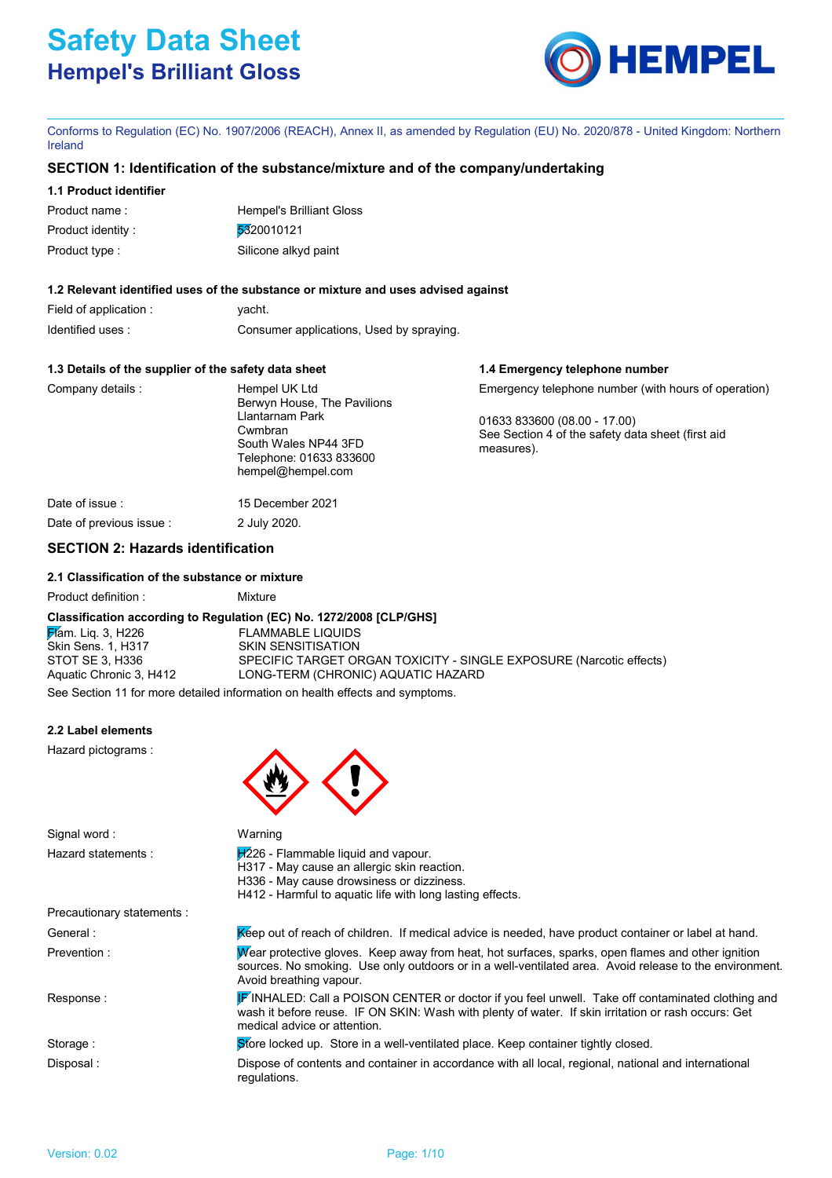

**1.4 Emergency telephone number**

Conforms to Regulation (EC) No. 1907/2006 (REACH), Annex II, as amended by Regulation (EU) No. 2020/878 - United Kingdom: Northern Ireland

# **SECTION 1: Identification of the substance/mixture and of the company/undertaking**

# **1.1 Product identifier**

| Product name:     | Hempel's Brilliant Gloss |
|-------------------|--------------------------|
| Product identity: | 5320010121               |
| Product type :    | Silicone alkyd paint     |

# **1.2 Relevant identified uses of the substance or mixture and uses advised against**

| Field of application : | yacht.                                   |
|------------------------|------------------------------------------|
| Identified uses:       | Consumer applications, Used by spraying. |

# **1.3 Details of the supplier of the safety data sheet**

| Company details: | Hempel UK Ltd<br>Berwyn House, The Pavilions                                                       | Emergency telephone number (with hours of operation)                                            |
|------------------|----------------------------------------------------------------------------------------------------|-------------------------------------------------------------------------------------------------|
|                  | Llantarnam Park<br>Cwmbran<br>South Wales NP44 3FD<br>Telephone: 01633 833600<br>hempel@hempel.com | 01633 833600 (08.00 - 17.00)<br>See Section 4 of the safety data sheet (first aid<br>measures). |
| Date of issue :  | 15 December 2021                                                                                   |                                                                                                 |

Date of previous issue : 2 July 2020.

# **SECTION 2: Hazards identification**

# **2.1 Classification of the substance or mixture**

Product definition : Mixture

# **Classification according to Regulation (EC) No. 1272/2008 [CLP/GHS]**

**Flam.** Liq. 3, H226 FLAMMABLE LIQUIDS Skin Sens. 1, H317 SKIN SENSITISATION STOT SE 3, H336 SPECIFIC TARGET ORGAN TOXICITY - SINGLE EXPOSURE (Narcotic effects) Aquatic Chronic 3, H412 LONG-TERM (CHRONIC) AQUATIC HAZARD

See Section 11 for more detailed information on health effects and symptoms.

# **2.2 Label elements**

Hazard pictograms :

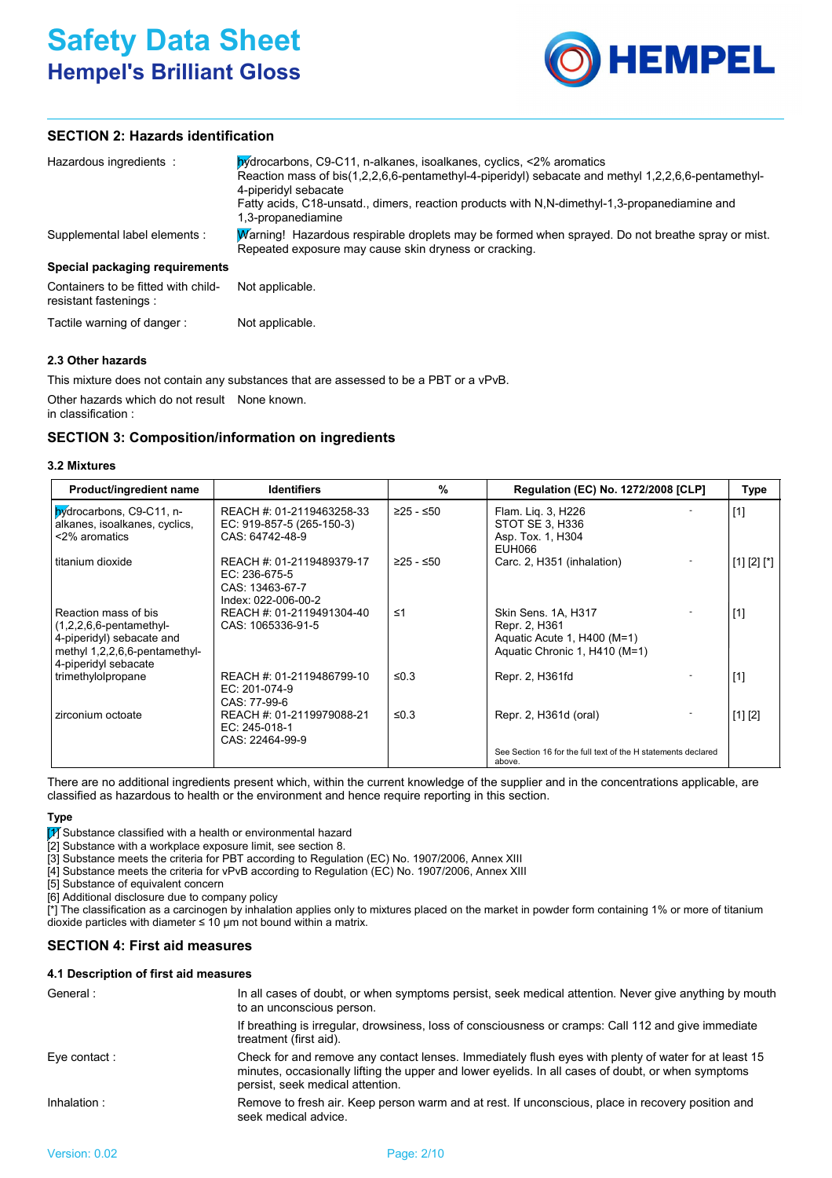

# **SECTION 2: Hazards identification**

| Hazardous ingredients :                                       | by drocarbons, C9-C11, n-alkanes, isoalkanes, cyclics, <2% aromatics<br>Reaction mass of bis(1,2,2,6,6-pentamethyl-4-piperidyl) sebacate and methyl 1,2,2,6,6-pentamethyl-<br>4-piperidyl sebacate<br>Fatty acids, C18-unsatd., dimers, reaction products with N.N-dimethyl-1,3-propanediamine and<br>1,3-propanediamine |
|---------------------------------------------------------------|--------------------------------------------------------------------------------------------------------------------------------------------------------------------------------------------------------------------------------------------------------------------------------------------------------------------------|
| Supplemental label elements :                                 | Warning! Hazardous respirable droplets may be formed when sprayed. Do not breathe spray or mist.<br>Repeated exposure may cause skin dryness or cracking.                                                                                                                                                                |
| Special packaging requirements                                |                                                                                                                                                                                                                                                                                                                          |
| Containers to be fitted with child-<br>resistant fastenings : | Not applicable.                                                                                                                                                                                                                                                                                                          |
| Tactile warning of danger:                                    | Not applicable.                                                                                                                                                                                                                                                                                                          |

# **2.3 Other hazards**

This mixture does not contain any substances that are assessed to be a PBT or a vPvB.

Other hazards which do not result None known. in classification :

# **SECTION 3: Composition/information on ingredients**

| Product/ingredient name                                                                                                                  | <b>Identifiers</b>                                                                     | %           | <b>Regulation (EC) No. 1272/2008 [CLP]</b>                                                           | Type        |
|------------------------------------------------------------------------------------------------------------------------------------------|----------------------------------------------------------------------------------------|-------------|------------------------------------------------------------------------------------------------------|-------------|
| hydrocarbons, C9-C11, n-<br>alkanes, isoalkanes, cyclics,<br><2% aromatics                                                               | REACH #: 01-2119463258-33<br>EC: 919-857-5 (265-150-3)<br>CAS: 64742-48-9              | ≥25 - ≤50   | Flam. Lig. 3, H226<br>STOT SE 3, H336<br>Asp. Tox. 1, H304<br>EUH066                                 | $[1]$       |
| titanium dioxide                                                                                                                         | REACH #: 01-2119489379-17<br>$EC: 236-675-5$<br>CAS: 13463-67-7<br>Index: 022-006-00-2 | $≥25 - ≤50$ | Carc. 2, H351 (inhalation)                                                                           | [1] [2] [1] |
| Reaction mass of bis<br>$(1,2,2,6,6$ -pentamethyl-<br>4-piperidyl) sebacate and<br>methyl 1,2,2,6,6-pentamethyl-<br>4-piperidyl sebacate | REACH #: 01-2119491304-40<br>CAS: 1065336-91-5                                         | $\leq 1$    | Skin Sens. 1A, H317<br>Repr. 2, H361<br>Aquatic Acute 1, H400 (M=1)<br>Aquatic Chronic 1, H410 (M=1) | $[1]$       |
| trimethylolpropane                                                                                                                       | REACH #: 01-2119486799-10<br>EC: 201-074-9<br>CAS: 77-99-6                             | ≤0.3        | Repr. 2, H361fd                                                                                      | $[1]$       |
| zirconium octoate                                                                                                                        | REACH #: 01-2119979088-21<br>EC: 245-018-1<br>CAS: 22464-99-9                          | ≤0.3        | Repr. 2, H361d (oral)                                                                                | [1] [2]     |
|                                                                                                                                          |                                                                                        |             | See Section 16 for the full text of the H statements declared<br>above.                              |             |

There are no additional ingredients present which, within the current knowledge of the supplier and in the concentrations applicable, are classified as hazardous to health or the environment and hence require reporting in this section.

# **Type**

 $\widehat{[1]}$  Substance classified with a health or environmental hazard

[2] Substance with a workplace exposure limit, see section 8.

[3] Substance meets the criteria for PBT according to Regulation (EC) No. 1907/2006, Annex XIII

[4] Substance meets the criteria for vPvB according to Regulation (EC) No. 1907/2006, Annex XIII

[5] Substance of equivalent concern

[6] Additional disclosure due to company policy

[\*] The classification as a carcinogen by inhalation applies only to mixtures placed on the market in powder form containing 1% or more of titanium dioxide particles with diameter  $\leq 10$  µm not bound within a matrix.

# **SECTION 4: First aid measures**

# **4.1 Description of first aid measures**

| General :     | In all cases of doubt, or when symptoms persist, seek medical attention. Never give anything by mouth<br>to an unconscious person.                                                                                                             |
|---------------|------------------------------------------------------------------------------------------------------------------------------------------------------------------------------------------------------------------------------------------------|
|               | If breathing is irregular, drowsiness, loss of consciousness or cramps: Call 112 and give immediate<br>treatment (first aid).                                                                                                                  |
| Eye contact : | Check for and remove any contact lenses. Immediately flush eyes with plenty of water for at least 15<br>minutes, occasionally lifting the upper and lower eyelids. In all cases of doubt, or when symptoms<br>persist, seek medical attention. |
| Inhalation :  | Remove to fresh air. Keep person warm and at rest. If unconscious, place in recovery position and<br>seek medical advice.                                                                                                                      |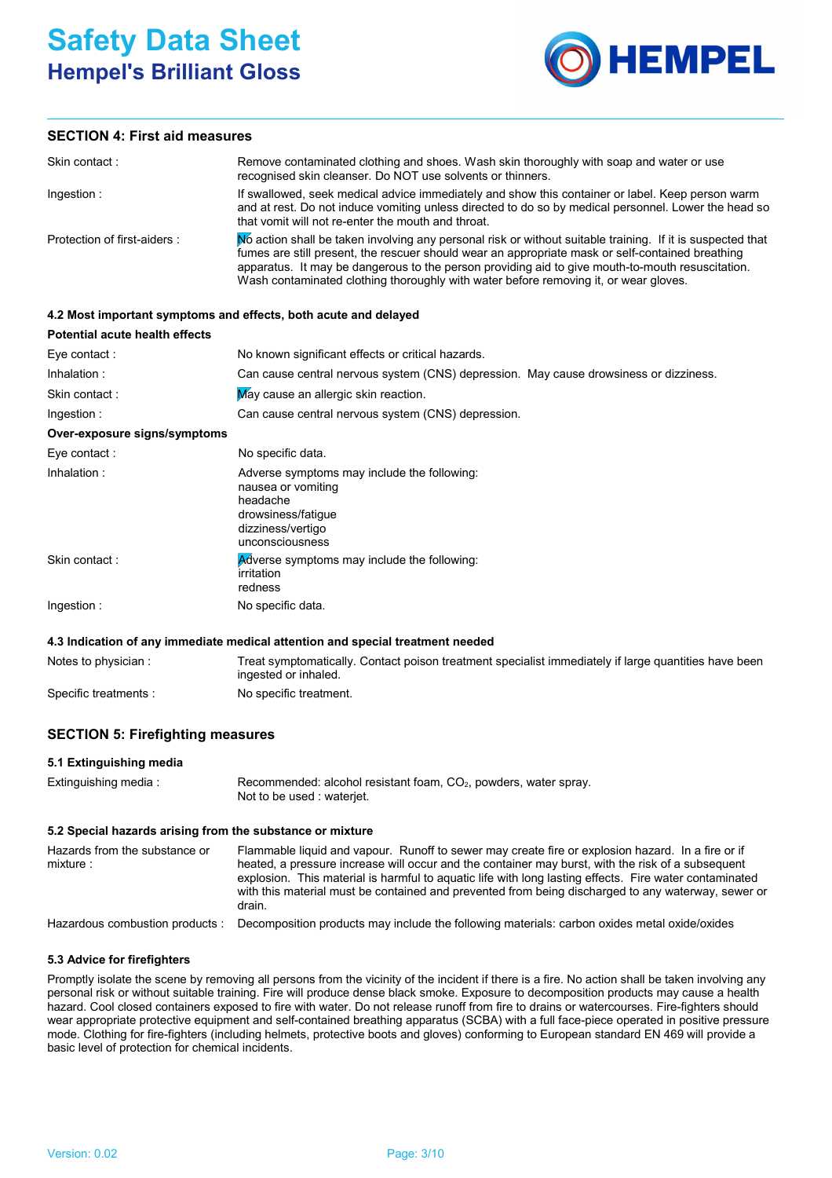

# **SECTION 4: First aid measures**

| Skin contact:               | Remove contaminated clothing and shoes. Wash skin thoroughly with soap and water or use<br>recognised skin cleanser. Do NOT use solvents or thinners.                                                                                                                                                                                                                                                      |
|-----------------------------|------------------------------------------------------------------------------------------------------------------------------------------------------------------------------------------------------------------------------------------------------------------------------------------------------------------------------------------------------------------------------------------------------------|
| Ingestion:                  | If swallowed, seek medical advice immediately and show this container or label. Keep person warm<br>and at rest. Do not induce vomiting unless directed to do so by medical personnel. Lower the head so<br>that vomit will not re-enter the mouth and throat.                                                                                                                                             |
| Protection of first-aiders: | No action shall be taken involving any personal risk or without suitable training. If it is suspected that<br>fumes are still present, the rescuer should wear an appropriate mask or self-contained breathing<br>apparatus. It may be dangerous to the person providing aid to give mouth-to-mouth resuscitation.<br>Wash contaminated clothing thoroughly with water before removing it, or wear gloves. |

# **4.2 Most important symptoms and effects, both acute and delayed**

| Potential acute health effects |                                                                                                                                             |  |
|--------------------------------|---------------------------------------------------------------------------------------------------------------------------------------------|--|
| Eye contact :                  | No known significant effects or critical hazards.                                                                                           |  |
| Inhalation:                    | Can cause central nervous system (CNS) depression. May cause drowsiness or dizziness.                                                       |  |
| Skin contact:                  | May cause an allergic skin reaction.                                                                                                        |  |
| Ingestion:                     | Can cause central nervous system (CNS) depression.                                                                                          |  |
| Over-exposure signs/symptoms   |                                                                                                                                             |  |
| Eye contact:                   | No specific data.                                                                                                                           |  |
| Inhalation:                    | Adverse symptoms may include the following:<br>nausea or vomiting<br>headache<br>drowsiness/fatique<br>dizziness/vertigo<br>unconsciousness |  |
| Skin contact:                  | Adverse symptoms may include the following:<br>irritation<br>redness                                                                        |  |
| Ingestion:                     | No specific data.                                                                                                                           |  |

#### **4.3 Indication of any immediate medical attention and special treatment needed**

| Notes to physician :  | Treat symptomatically. Contact poison treatment specialist immediately if large quantities have been<br>ingested or inhaled. |
|-----------------------|------------------------------------------------------------------------------------------------------------------------------|
| Specific treatments : | No specific treatment.                                                                                                       |

# **SECTION 5: Firefighting measures**

# **5.1 Extinguishing media**

| Extinguishing media : | Recommended: alcohol resistant foam, $CO2$ , powders, water spray. |
|-----------------------|--------------------------------------------------------------------|
|                       | Not to be used : wateriet.                                         |

### **5.2 Special hazards arising from the substance or mixture**

| Hazards from the substance or<br>mixture: | Flammable liquid and vapour. Runoff to sewer may create fire or explosion hazard. In a fire or if<br>heated, a pressure increase will occur and the container may burst, with the risk of a subsequent<br>explosion. This material is harmful to aquatic life with long lasting effects. Fire water contaminated<br>with this material must be contained and prevented from being discharged to any waterway, sewer or<br>drain. |
|-------------------------------------------|----------------------------------------------------------------------------------------------------------------------------------------------------------------------------------------------------------------------------------------------------------------------------------------------------------------------------------------------------------------------------------------------------------------------------------|
| Hazardous combustion products:            | Decomposition products may include the following materials: carbon oxides metal oxide/oxides                                                                                                                                                                                                                                                                                                                                     |

#### **5.3 Advice for firefighters**

Promptly isolate the scene by removing all persons from the vicinity of the incident if there is a fire. No action shall be taken involving any personal risk or without suitable training. Fire will produce dense black smoke. Exposure to decomposition products may cause a health hazard. Cool closed containers exposed to fire with water. Do not release runoff from fire to drains or watercourses. Fire-fighters should wear appropriate protective equipment and self-contained breathing apparatus (SCBA) with a full face-piece operated in positive pressure mode. Clothing for fire-fighters (including helmets, protective boots and gloves) conforming to European standard EN 469 will provide a basic level of protection for chemical incidents.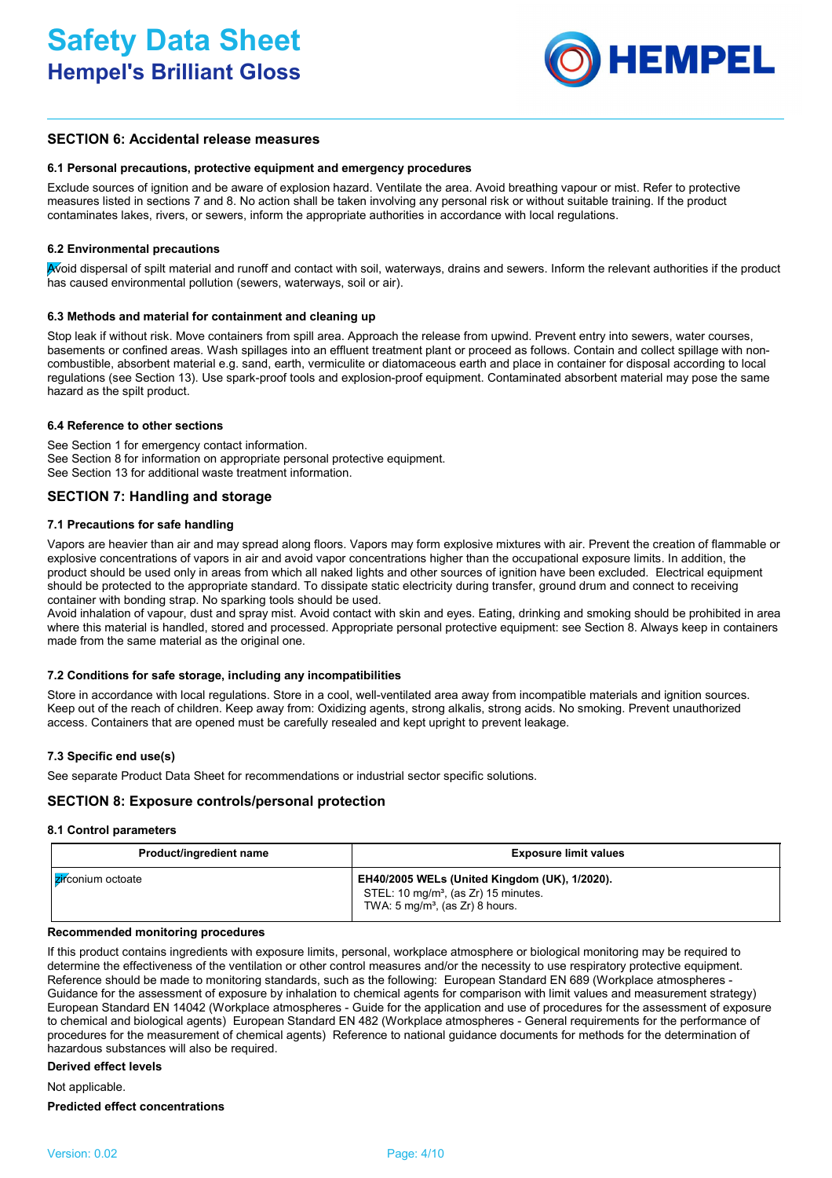

# **SECTION 6: Accidental release measures**

#### **6.1 Personal precautions, protective equipment and emergency procedures**

Exclude sources of ignition and be aware of explosion hazard. Ventilate the area. Avoid breathing vapour or mist. Refer to protective measures listed in sections 7 and 8. No action shall be taken involving any personal risk or without suitable training. If the product contaminates lakes, rivers, or sewers, inform the appropriate authorities in accordance with local regulations.

# **6.2 Environmental precautions**

Avoid dispersal of spilt material and runoff and contact with soil, waterways, drains and sewers. Inform the relevant authorities if the product has caused environmental pollution (sewers, waterways, soil or air).

#### **6.3 Methods and material for containment and cleaning up**

Stop leak if without risk. Move containers from spill area. Approach the release from upwind. Prevent entry into sewers, water courses, basements or confined areas. Wash spillages into an effluent treatment plant or proceed as follows. Contain and collect spillage with noncombustible, absorbent material e.g. sand, earth, vermiculite or diatomaceous earth and place in container for disposal according to local regulations (see Section 13). Use spark-proof tools and explosion-proof equipment. Contaminated absorbent material may pose the same hazard as the spilt product.

# **6.4 Reference to other sections**

See Section 1 for emergency contact information. See Section 8 for information on appropriate personal protective equipment. See Section 13 for additional waste treatment information.

# **SECTION 7: Handling and storage**

# **7.1 Precautions for safe handling**

Vapors are heavier than air and may spread along floors. Vapors may form explosive mixtures with air. Prevent the creation of flammable or explosive concentrations of vapors in air and avoid vapor concentrations higher than the occupational exposure limits. In addition, the product should be used only in areas from which all naked lights and other sources of ignition have been excluded. Electrical equipment should be protected to the appropriate standard. To dissipate static electricity during transfer, ground drum and connect to receiving container with bonding strap. No sparking tools should be used.

Avoid inhalation of vapour, dust and spray mist. Avoid contact with skin and eyes. Eating, drinking and smoking should be prohibited in area where this material is handled, stored and processed. Appropriate personal protective equipment: see Section 8. Always keep in containers made from the same material as the original one.

#### **7.2 Conditions for safe storage, including any incompatibilities**

Store in accordance with local regulations. Store in a cool, well-ventilated area away from incompatible materials and ignition sources. Keep out of the reach of children. Keep away from: Oxidizing agents, strong alkalis, strong acids. No smoking. Prevent unauthorized access. Containers that are opened must be carefully resealed and kept upright to prevent leakage.

# **7.3 Specific end use(s)**

See separate Product Data Sheet for recommendations or industrial sector specific solutions.

# **SECTION 8: Exposure controls/personal protection**

#### **8.1 Control parameters**

| Product/ingredient name | <b>Exposure limit values</b>                                                                                                                     |
|-------------------------|--------------------------------------------------------------------------------------------------------------------------------------------------|
| I zirconium octoate     | EH40/2005 WELs (United Kingdom (UK), 1/2020).<br>STEL: 10 mg/m <sup>3</sup> , (as Zr) 15 minutes.<br>TWA: 5 mg/m <sup>3</sup> , (as Zr) 8 hours. |

#### **Recommended monitoring procedures**

If this product contains ingredients with exposure limits, personal, workplace atmosphere or biological monitoring may be required to determine the effectiveness of the ventilation or other control measures and/or the necessity to use respiratory protective equipment. Reference should be made to monitoring standards, such as the following: European Standard EN 689 (Workplace atmospheres - Guidance for the assessment of exposure by inhalation to chemical agents for comparison with limit values and measurement strategy) European Standard EN 14042 (Workplace atmospheres - Guide for the application and use of procedures for the assessment of exposure to chemical and biological agents) European Standard EN 482 (Workplace atmospheres - General requirements for the performance of procedures for the measurement of chemical agents) Reference to national guidance documents for methods for the determination of hazardous substances will also be required.

#### **Derived effect levels**

Not applicable.

#### **Predicted effect concentrations**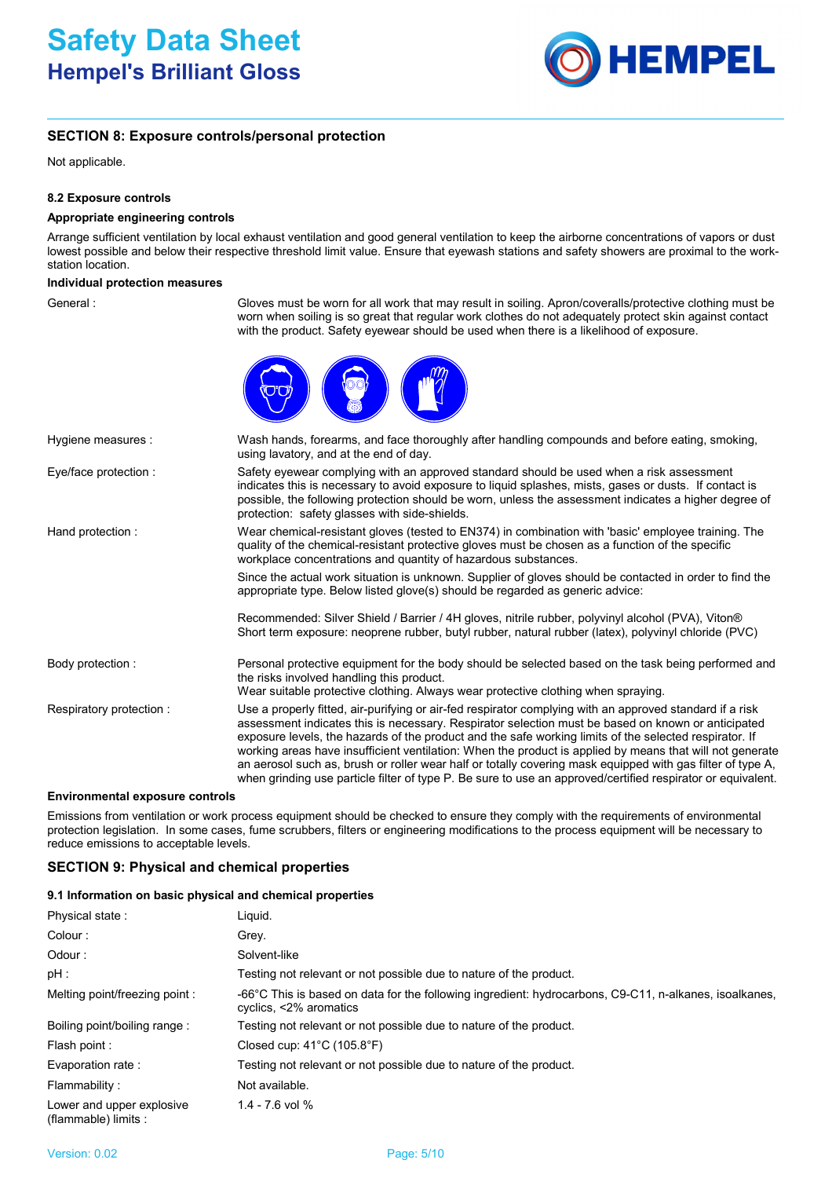

# **SECTION 8: Exposure controls/personal protection**

Not applicable.

# **8.2 Exposure controls**

# **Appropriate engineering controls**

Arrange sufficient ventilation by local exhaust ventilation and good general ventilation to keep the airborne concentrations of vapors or dust lowest possible and below their respective threshold limit value. Ensure that eyewash stations and safety showers are proximal to the workstation location.

# **Individual protection measures**

| General:                               | Gloves must be worn for all work that may result in soiling. Apron/coveralls/protective clothing must be<br>worn when soiling is so great that regular work clothes do not adequately protect skin against contact<br>with the product. Safety eyewear should be used when there is a likelihood of exposure.                                                                                                                                                                                                                                                                                                                                                     |
|----------------------------------------|-------------------------------------------------------------------------------------------------------------------------------------------------------------------------------------------------------------------------------------------------------------------------------------------------------------------------------------------------------------------------------------------------------------------------------------------------------------------------------------------------------------------------------------------------------------------------------------------------------------------------------------------------------------------|
|                                        |                                                                                                                                                                                                                                                                                                                                                                                                                                                                                                                                                                                                                                                                   |
| Hygiene measures :                     | Wash hands, forearms, and face thoroughly after handling compounds and before eating, smoking,<br>using lavatory, and at the end of day.                                                                                                                                                                                                                                                                                                                                                                                                                                                                                                                          |
| Eye/face protection :                  | Safety eyewear complying with an approved standard should be used when a risk assessment<br>indicates this is necessary to avoid exposure to liquid splashes, mists, gases or dusts. If contact is<br>possible, the following protection should be worn, unless the assessment indicates a higher degree of<br>protection: safety glasses with side-shields.                                                                                                                                                                                                                                                                                                      |
| Hand protection:                       | Wear chemical-resistant gloves (tested to EN374) in combination with 'basic' employee training. The<br>quality of the chemical-resistant protective gloves must be chosen as a function of the specific<br>workplace concentrations and quantity of hazardous substances.                                                                                                                                                                                                                                                                                                                                                                                         |
|                                        | Since the actual work situation is unknown. Supplier of gloves should be contacted in order to find the<br>appropriate type. Below listed glove(s) should be regarded as generic advice:                                                                                                                                                                                                                                                                                                                                                                                                                                                                          |
|                                        | Recommended: Silver Shield / Barrier / 4H gloves, nitrile rubber, polyvinyl alcohol (PVA), Viton®<br>Short term exposure: neoprene rubber, butyl rubber, natural rubber (latex), polyvinyl chloride (PVC)                                                                                                                                                                                                                                                                                                                                                                                                                                                         |
| Body protection:                       | Personal protective equipment for the body should be selected based on the task being performed and<br>the risks involved handling this product.<br>Wear suitable protective clothing. Always wear protective clothing when spraying.                                                                                                                                                                                                                                                                                                                                                                                                                             |
| Respiratory protection :               | Use a properly fitted, air-purifying or air-fed respirator complying with an approved standard if a risk<br>assessment indicates this is necessary. Respirator selection must be based on known or anticipated<br>exposure levels, the hazards of the product and the safe working limits of the selected respirator. If<br>working areas have insufficient ventilation: When the product is applied by means that will not generate<br>an aerosol such as, brush or roller wear half or totally covering mask equipped with gas filter of type A,<br>when grinding use particle filter of type P. Be sure to use an approved/certified respirator or equivalent. |
| <b>Environmental exposure controls</b> |                                                                                                                                                                                                                                                                                                                                                                                                                                                                                                                                                                                                                                                                   |

Emissions from ventilation or work process equipment should be checked to ensure they comply with the requirements of environmental protection legislation. In some cases, fume scrubbers, filters or engineering modifications to the process equipment will be necessary to reduce emissions to acceptable levels.

# **SECTION 9: Physical and chemical properties**

# **9.1 Information on basic physical and chemical properties**

| Physical state:                                   | Liguid.                                                                                                                          |
|---------------------------------------------------|----------------------------------------------------------------------------------------------------------------------------------|
| Colour:                                           | Grey.                                                                                                                            |
| Odour:                                            | Solvent-like                                                                                                                     |
| pH :                                              | Testing not relevant or not possible due to nature of the product.                                                               |
| Melting point/freezing point:                     | -66°C This is based on data for the following ingredient: hydrocarbons, C9-C11, n-alkanes, isoalkanes,<br>cyclics, <2% aromatics |
| Boiling point/boiling range:                      | Testing not relevant or not possible due to nature of the product.                                                               |
| Flash point :                                     | Closed cup: $41^{\circ}$ C (105.8 $^{\circ}$ F)                                                                                  |
| Evaporation rate :                                | Testing not relevant or not possible due to nature of the product.                                                               |
| Flammability:                                     | Not available.                                                                                                                   |
| Lower and upper explosive<br>(flammable) limits : | $1.4 - 7.6$ vol %                                                                                                                |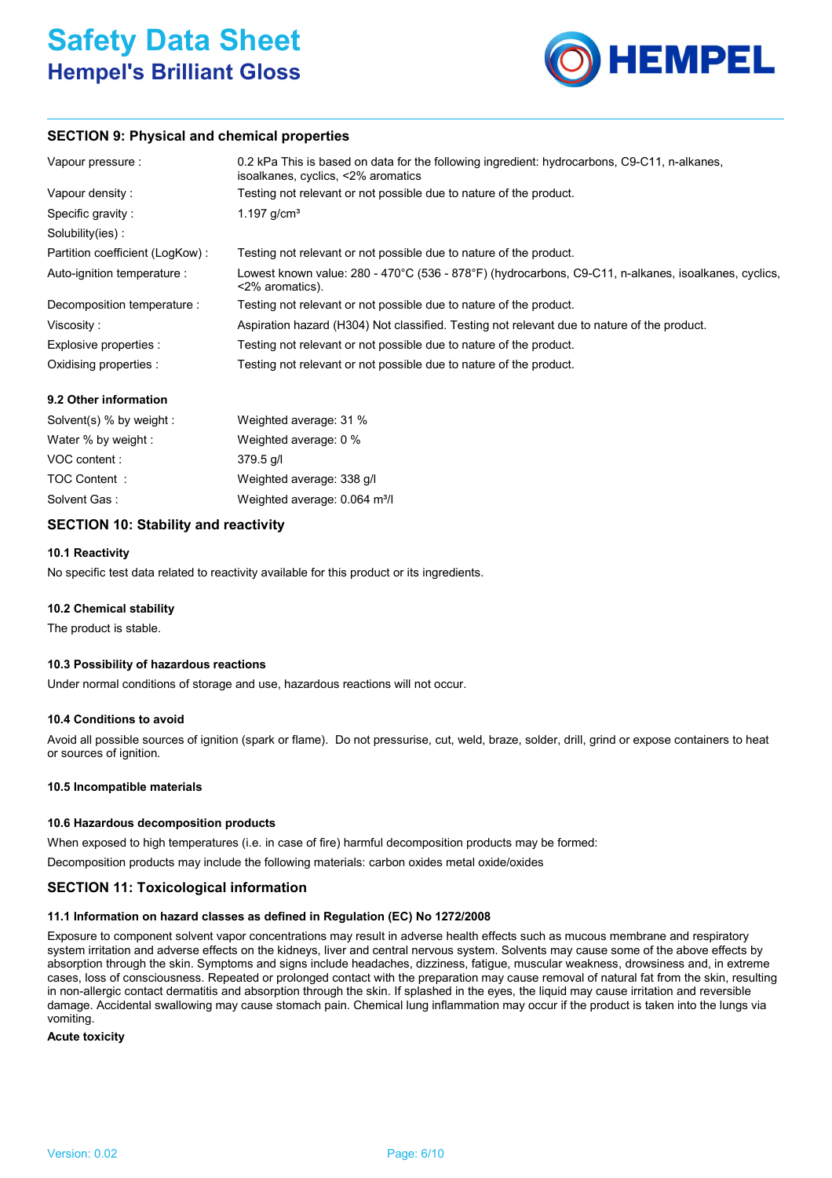

# **SECTION 9: Physical and chemical properties**

| Vapour pressure :               | 0.2 kPa This is based on data for the following ingredient: hydrocarbons, C9-C11, n-alkanes,<br>isoalkanes, cyclics, <2% aromatics |
|---------------------------------|------------------------------------------------------------------------------------------------------------------------------------|
| Vapour density :                | Testing not relevant or not possible due to nature of the product.                                                                 |
| Specific gravity:               | 1.197 $g/cm^{3}$                                                                                                                   |
| Solubility(ies):                |                                                                                                                                    |
| Partition coefficient (LogKow): | Testing not relevant or not possible due to nature of the product.                                                                 |
| Auto-ignition temperature :     | Lowest known value: 280 - 470°C (536 - 878°F) (hydrocarbons, C9-C11, n-alkanes, isoalkanes, cyclics,<br><2% aromatics).            |
| Decomposition temperature :     | Testing not relevant or not possible due to nature of the product.                                                                 |
| Viscosity:                      | Aspiration hazard (H304) Not classified. Testing not relevant due to nature of the product.                                        |
| Explosive properties :          | Testing not relevant or not possible due to nature of the product.                                                                 |
| Oxidising properties :          | Testing not relevant or not possible due to nature of the product.                                                                 |

# **9.2 Other information**

| Solvent(s) % by weight : | Weighted average: 31 %                    |
|--------------------------|-------------------------------------------|
| Water % by weight :      | Weighted average: 0 %                     |
| VOC content :            | 379.5 g/l                                 |
| TOC Content:             | Weighted average: 338 g/l                 |
| Solvent Gas:             | Weighted average: 0.064 m <sup>3</sup> /l |

# **SECTION 10: Stability and reactivity**

# **10.1 Reactivity**

No specific test data related to reactivity available for this product or its ingredients.

# **10.2 Chemical stability**

The product is stable.

# **10.3 Possibility of hazardous reactions**

Under normal conditions of storage and use, hazardous reactions will not occur.

# **10.4 Conditions to avoid**

Avoid all possible sources of ignition (spark or flame). Do not pressurise, cut, weld, braze, solder, drill, grind or expose containers to heat or sources of ignition.

#### **10.5 Incompatible materials**

# **10.6 Hazardous decomposition products**

When exposed to high temperatures (i.e. in case of fire) harmful decomposition products may be formed: Decomposition products may include the following materials: carbon oxides metal oxide/oxides

# **SECTION 11: Toxicological information**

# **11.1 Information on hazard classes as defined in Regulation (EC) No 1272/2008**

Exposure to component solvent vapor concentrations may result in adverse health effects such as mucous membrane and respiratory system irritation and adverse effects on the kidneys, liver and central nervous system. Solvents may cause some of the above effects by absorption through the skin. Symptoms and signs include headaches, dizziness, fatigue, muscular weakness, drowsiness and, in extreme cases, loss of consciousness. Repeated or prolonged contact with the preparation may cause removal of natural fat from the skin, resulting in non-allergic contact dermatitis and absorption through the skin. If splashed in the eyes, the liquid may cause irritation and reversible damage. Accidental swallowing may cause stomach pain. Chemical lung inflammation may occur if the product is taken into the lungs via vomiting.

**Acute toxicity**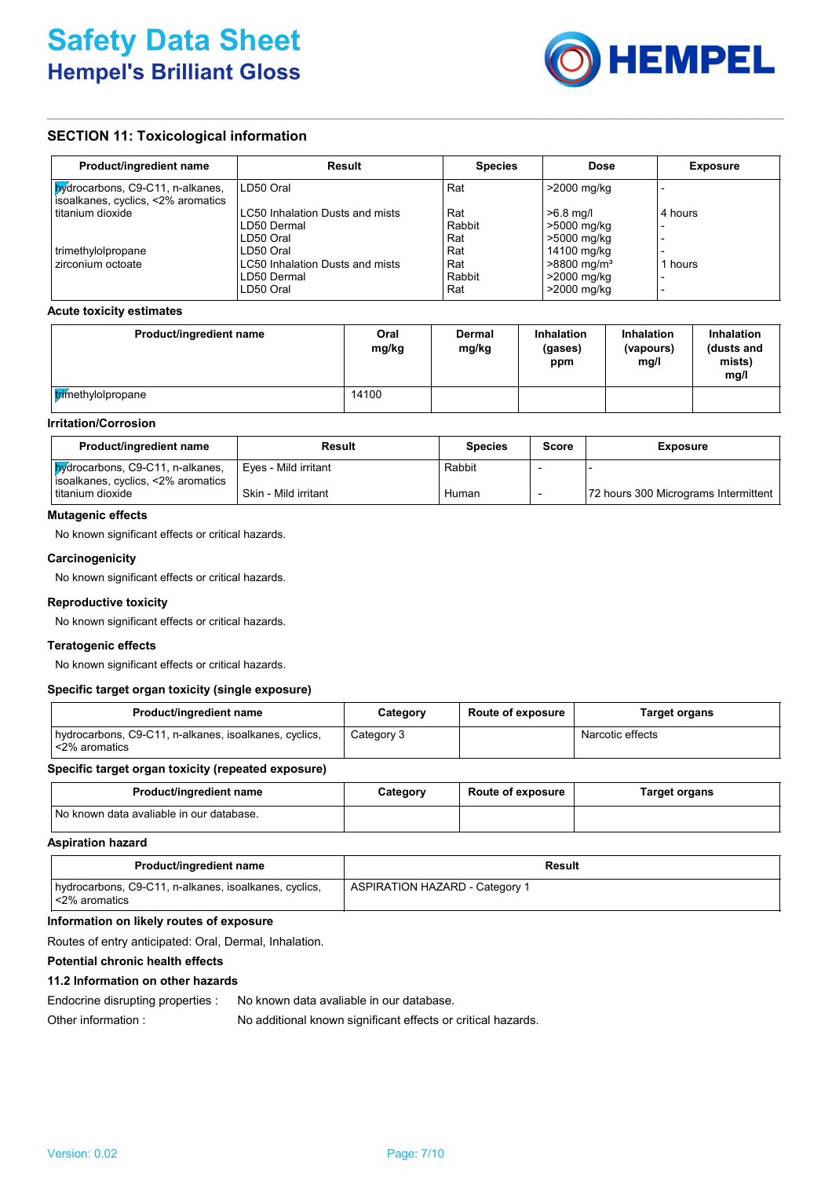

# **SECTION 11: Toxicological information**

| Product/ingredient name                                                | <b>Result</b>                   | <b>Species</b> | Dose                      | <b>Exposure</b> |
|------------------------------------------------------------------------|---------------------------------|----------------|---------------------------|-----------------|
| Mydrocarbons, C9-C11, n-alkanes,<br>isoalkanes, cyclics, <2% aromatics | LD50 Oral                       | Rat            | >2000 mg/kg               |                 |
| titanium dioxide                                                       | LC50 Inhalation Dusts and mists | Rat            | $>6.8$ mg/l               | 4 hours         |
|                                                                        | LD50 Dermal                     | Rabbit         | >5000 mg/kg               |                 |
|                                                                        | LD50 Oral                       | Rat            | >5000 mg/kg               |                 |
| trimethylolpropane                                                     | LD50 Oral                       | Rat            | 14100 mg/kg               |                 |
| zirconium octoate                                                      | LC50 Inhalation Dusts and mists | Rat            | $>8800$ mg/m <sup>3</sup> | 1 hours         |
|                                                                        | LD50 Dermal                     | Rabbit         | >2000 mg/kg               |                 |
|                                                                        | LD50 Oral                       | Rat            | >2000 mg/kg               |                 |

# **Acute toxicity estimates**

| Product/ingredient name   | Oral<br>mg/kg | Dermal<br>mg/kg | <b>Inhalation</b><br>(gases)<br>ppm | <b>Inhalation</b><br>(vapours)<br>mq/l | <b>Inhalation</b><br>(dusts and<br>mists)<br>mg/l |
|---------------------------|---------------|-----------------|-------------------------------------|----------------------------------------|---------------------------------------------------|
| <b>trimethylolpropane</b> | 14100         |                 |                                     |                                        |                                                   |

# **Irritation/Corrosion**

| Product/ingredient name                                                       | Result               | <b>Species</b> | <b>Score</b> | <b>Exposure</b>                      |
|-------------------------------------------------------------------------------|----------------------|----------------|--------------|--------------------------------------|
| <b>bydrocarbons, C9-C11, n-alkanes,</b><br>isoalkanes, cyclics, <2% aromatics | Eves - Mild irritant | Rabbit         |              |                                      |
| titanium dioxide                                                              | Skin - Mild irritant | Human          |              | 72 hours 300 Micrograms Intermittent |

# **Mutagenic effects**

No known significant effects or critical hazards.

# **Carcinogenicity**

No known significant effects or critical hazards.

# **Reproductive toxicity**

No known significant effects or critical hazards.

#### **Teratogenic effects**

No known significant effects or critical hazards.

# **Specific target organ toxicity (single exposure)**

| Product/ingredient name                                                | Category   | <b>Route of exposure</b> | Target organs    |
|------------------------------------------------------------------------|------------|--------------------------|------------------|
| hydrocarbons, C9-C11, n-alkanes, isoalkanes, cyclics,<br><2% aromatics | Category 3 |                          | Narcotic effects |

#### **Specific target organ toxicity (repeated exposure)**

| <b>Product/ingredient name</b>           | Category | <b>Route of exposure</b> | <b>Target organs</b> |
|------------------------------------------|----------|--------------------------|----------------------|
| No known data avaliable in our database. |          |                          |                      |

#### **Aspiration hazard**

| Product/ingredient name                                                      | Result                                |
|------------------------------------------------------------------------------|---------------------------------------|
| hydrocarbons, C9-C11, n-alkanes, isoalkanes, cyclics,<br>$\leq$ 2% aromatics | <b>ASPIRATION HAZARD - Category 1</b> |

#### **Information on likely routes of exposure**

Routes of entry anticipated: Oral, Dermal, Inhalation.

#### **Potential chronic health effects**

#### **11.2 Information on other hazards**

Endocrine disrupting properties : No known data avaliable in our database.

Other information : No additional known significant effects or critical hazards.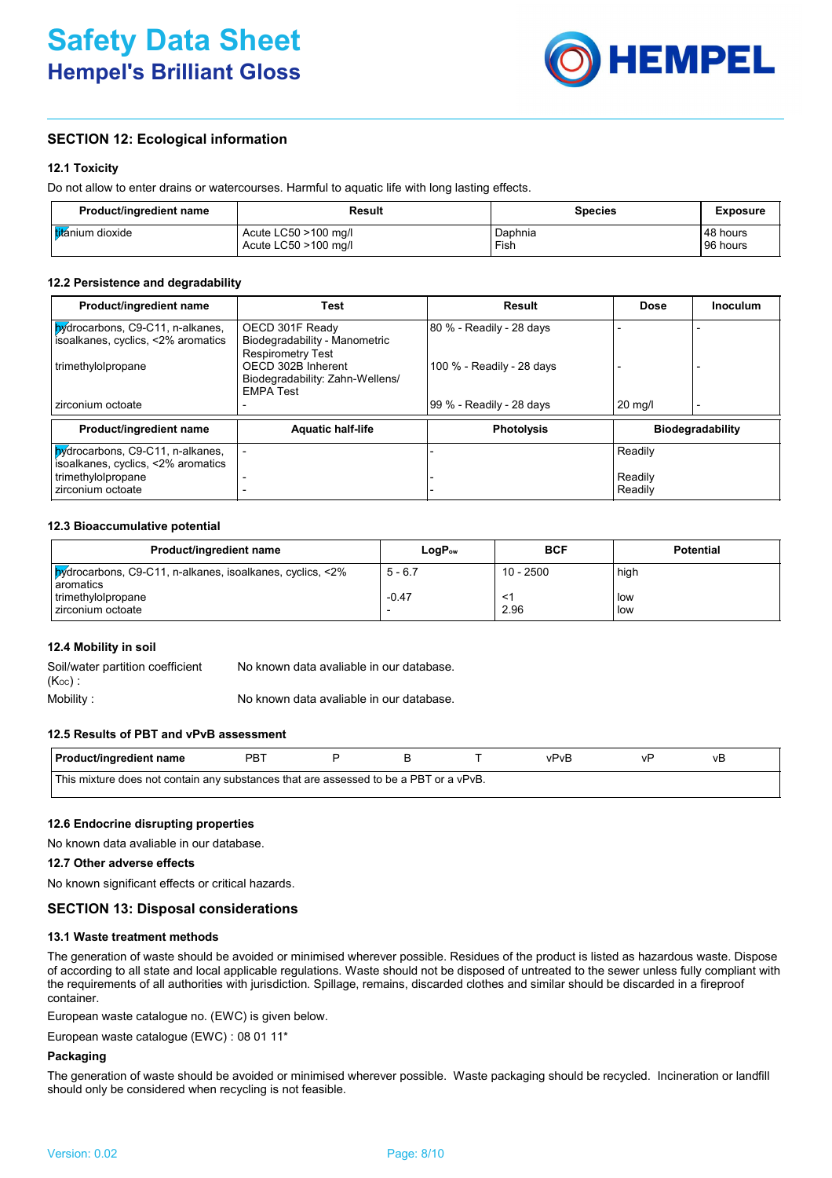

# **SECTION 12: Ecological information**

# **12.1 Toxicity**

Do not allow to enter drains or watercourses. Harmful to aquatic life with long lasting effects.

| Product/ingredient name   | Result                  | Species | <b>Exposure</b> |
|---------------------------|-------------------------|---------|-----------------|
| <b>Itit</b> ánium dioxide | Acute $LC50 > 100$ mg/l | Daphnia | 148 hours       |
|                           | Acute LC50 >100 mg/l    | Fish    | 96 hours        |

#### **12.2 Persistence and degradability**

| Product/ingredient name                  | <b>Test</b>                                         | Result                    | <b>Dose</b>       | <b>Inoculum</b>         |
|------------------------------------------|-----------------------------------------------------|---------------------------|-------------------|-------------------------|
| <b>by</b> drocarbons, C9-C11, n-alkanes, | OECD 301F Ready                                     | 80 % - Readily - 28 days  |                   |                         |
| isoalkanes, cyclics, <2% aromatics       | Biodegradability - Manometric                       |                           |                   |                         |
|                                          | <b>Respirometry Test</b>                            |                           |                   |                         |
| trimethylolpropane                       | OECD 302B Inherent                                  | 100 % - Readily - 28 days |                   |                         |
|                                          | Biodegradability: Zahn-Wellens/<br><b>FMPA Test</b> |                           |                   |                         |
| zirconium octoate                        |                                                     | 99 % - Readily - 28 days  | $20 \text{ mg/l}$ |                         |
|                                          |                                                     |                           |                   |                         |
| Product/ingredient name                  | <b>Aquatic half-life</b>                            | <b>Photolysis</b>         |                   | <b>Biodegradability</b> |
| Mydrocarbons, C9-C11, n-alkanes,         |                                                     |                           | Readily           |                         |
| isoalkanes, cyclics, <2% aromatics       |                                                     |                           |                   |                         |
| trimethylolpropane                       |                                                     |                           | Readily           |                         |
| zirconium octoate                        |                                                     |                           | Readily           |                         |

# **12.3 Bioaccumulative potential**

| Product/ingredient name                                                          | $\mathsf{LogP}_\mathsf{ow}$ | <b>BCF</b>  | <b>Potential</b> |
|----------------------------------------------------------------------------------|-----------------------------|-------------|------------------|
| <b>bydrocarbons, C9-C11, n-alkanes, isoalkanes, cyclics, &lt;2%</b><br>aromatics | $5 - 6.7$                   | $10 - 2500$ | high             |
| trimethylolpropane<br>zirconium octoate                                          | $-0.47$<br>. .              | 2.96        | llow<br>l low    |

# **12.4 Mobility in soil**

| Soil/water partition coefficient | No known data avaliable in our database. |
|----------------------------------|------------------------------------------|
| $(K_{OC})$ :                     |                                          |
| Mobility :                       | No known data avaliable in our database. |

**12.5 Results of PBT and vPvB assessment**

| <b>Product/ingredient name</b>                                                        | PB. |  |  |  | /PvB | ぃ | ٧Ë |  |
|---------------------------------------------------------------------------------------|-----|--|--|--|------|---|----|--|
| This mixture does not contain any substances that are assessed to be a PBT or a vPvB. |     |  |  |  |      |   |    |  |

#### **12.6 Endocrine disrupting properties**

No known data avaliable in our database.

# **12.7 Other adverse effects**

No known significant effects or critical hazards.

# **SECTION 13: Disposal considerations**

#### **13.1 Waste treatment methods**

The generation of waste should be avoided or minimised wherever possible. Residues of the product is listed as hazardous waste. Dispose of according to all state and local applicable regulations. Waste should not be disposed of untreated to the sewer unless fully compliant with the requirements of all authorities with jurisdiction. Spillage, remains, discarded clothes and similar should be discarded in a fireproof container.

European waste catalogue no. (EWC) is given below.

European waste catalogue (EWC) : 08 01 11\*

# **Packaging**

The generation of waste should be avoided or minimised wherever possible. Waste packaging should be recycled. Incineration or landfill should only be considered when recycling is not feasible.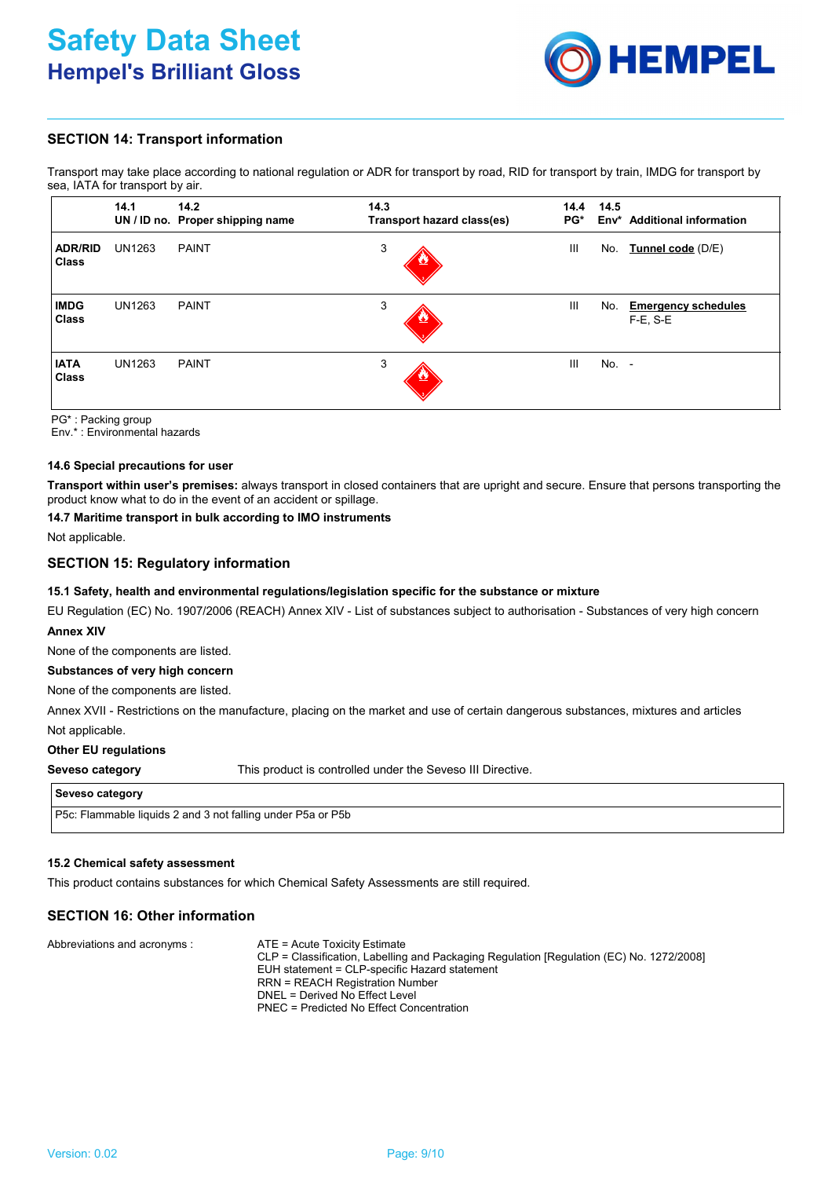

# **SECTION 14: Transport information**

Transport may take place according to national regulation or ADR for transport by road, RID for transport by train, IMDG for transport by sea, IATA for transport by air.

|                             | 14.1          | 14.2<br>UN / ID no. Proper shipping name | 14.3<br>Transport hazard class(es) | 14.4<br>PG* | 14.5  | Env <sup>*</sup> Additional information   |
|-----------------------------|---------------|------------------------------------------|------------------------------------|-------------|-------|-------------------------------------------|
| <b>ADR/RID</b><br>Class     | <b>UN1263</b> | <b>PAINT</b>                             | 3                                  | Ш           | No.   | Tunnel code (D/E)                         |
| <b>IMDG</b><br><b>Class</b> | <b>UN1263</b> | <b>PAINT</b>                             | 3                                  | III         | No.   | <b>Emergency schedules</b><br>$F-E$ , S-E |
| <b>IATA</b><br><b>Class</b> | <b>UN1263</b> | <b>PAINT</b>                             | 3                                  | III         | No. - |                                           |

PG\* : Packing group

Env.\* : Environmental hazards

#### **14.6 Special precautions for user**

**Transport within user's premises:** always transport in closed containers that are upright and secure. Ensure that persons transporting the product know what to do in the event of an accident or spillage.

# **14.7 Maritime transport in bulk according to IMO instruments**

Not applicable.

# **SECTION 15: Regulatory information**

#### **15.1 Safety, health and environmental regulations/legislation specific for the substance or mixture**

EU Regulation (EC) No. 1907/2006 (REACH) Annex XIV - List of substances subject to authorisation - Substances of very high concern **Annex XIV**

None of the components are listed.

#### **Substances of very high concern**

None of the components are listed.

Not applicable. Annex XVII - Restrictions on the manufacture, placing on the market and use of certain dangerous substances, mixtures and articles

#### **Other EU regulations**

**Seveso category**

This product is controlled under the Seveso III Directive.

#### **Seveso category**

P5c: Flammable liquids 2 and 3 not falling under P5a or P5b

# **15.2 Chemical safety assessment**

This product contains substances for which Chemical Safety Assessments are still required.

# **SECTION 16: Other information**

| Abbreviations and acronyms :<br>ATE = Acute Toxicity Estimate<br>CLP = Classification, Labelling and Packaging Regulation [Regulation (EC) No. 1272/2008]<br>EUH statement = CLP-specific Hazard statement<br><b>RRN = REACH Registration Number</b><br>DNEL = Derived No Effect Level<br>PNEC = Predicted No Effect Concentration |  |
|------------------------------------------------------------------------------------------------------------------------------------------------------------------------------------------------------------------------------------------------------------------------------------------------------------------------------------|--|
|------------------------------------------------------------------------------------------------------------------------------------------------------------------------------------------------------------------------------------------------------------------------------------------------------------------------------------|--|